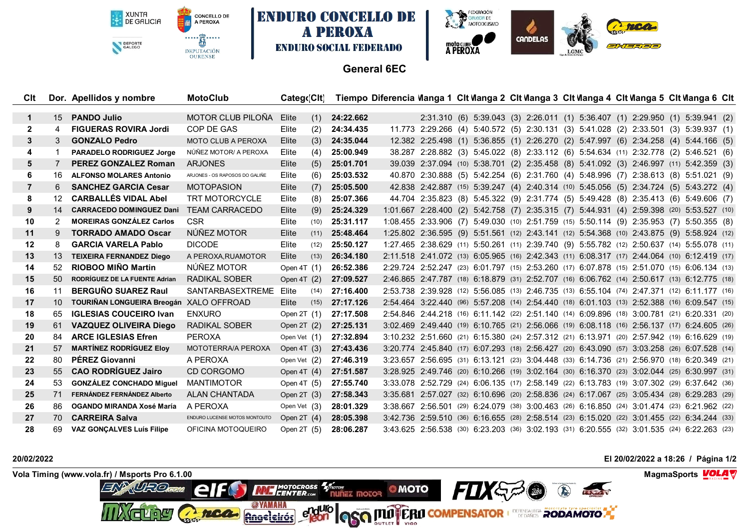XUNTA<br>DE GALICIA DEPORTE





## **General 6EC**

**A PEROXA** 

| Clt            |                 | Dor. Apellidos y nombre                 | <b>MotoClub</b>                | Catego Cit   |      |           | Tiempo Diferencia Wanga 1 Clt Wanga 2 Clt Wanga 3 Clt Wanga 4 Clt Wanga 5 Clt Wanga 6 Clt |  |  |  |  |                                                                                              |  |  |
|----------------|-----------------|-----------------------------------------|--------------------------------|--------------|------|-----------|-------------------------------------------------------------------------------------------|--|--|--|--|----------------------------------------------------------------------------------------------|--|--|
|                |                 |                                         |                                |              |      |           |                                                                                           |  |  |  |  |                                                                                              |  |  |
| 1              | 15              | <b>PANDO Julio</b>                      | MOTOR CLUB PILOÑA              | Elite        | (1)  | 24:22.662 |                                                                                           |  |  |  |  | 2:31.310 (6) 5:39.043 (3) 2:26.011 (1) 5:36.407 (1) 2:29.950 (1) 5:39.941 (2)                |  |  |
| $\mathbf{2}$   | 4               | <b>FIGUERAS ROVIRA Jordi</b>            | COP DE GAS                     | Elite        | (2)  | 24:34.435 |                                                                                           |  |  |  |  | 11.773 2:29.266 (4) 5:40.572 (5) 2:30.131 (3) 5:41.028 (2) 2:33.501 (3) 5:39.937 (1)         |  |  |
| 3              | 3               | <b>GONZALO Pedro</b>                    | <b>MOTO CLUB A PEROXA</b>      | Elite        | (3)  | 24:35.044 |                                                                                           |  |  |  |  | 12.382 2:25.498 (1) 5:36.855 (1) 2:26.270 (2) 5:47.997 (6) 2:34.258 (4) 5:44.166 (5)         |  |  |
| 4              | 1               | <b>PARADELO RODRIGUEZ Jorge</b>         | NÚÑEZ MOTOR/ A PEROXA          | Elite        | (4)  | 25:00.949 |                                                                                           |  |  |  |  | 38.287 2:28.882 (3) 5:45.022 (8) 2:33.112 (6) 5:54.634 (11) 2:32.778 (2) 5:46.521 (6)        |  |  |
| 5              | 7               | <b>PEREZ GONZALEZ Roman</b>             | <b>ARJONES</b>                 | Elite        | (5)  | 25:01.701 |                                                                                           |  |  |  |  | 39.039 2:37.094 (10) 5:38.701 (2) 2:35.458 (8) 5:41.092 (3) 2:46.997 (11) 5:42.359 (3)       |  |  |
| 6              | 16              | <b>ALFONSO MOLARES Antonio</b>          | ARJONES - OS RAPOSOS DO GALIÑE | Elite        | (6)  | 25:03.532 |                                                                                           |  |  |  |  | 40.870 2:30.888 (5) 5:42.254 (6) 2:31.760 (4) 5:48.996 (7) 2:38.613 (8) 5:51.021 (9)         |  |  |
| $\overline{7}$ | 6.              | <b>SANCHEZ GARCIA Cesar</b>             | <b>MOTOPASION</b>              | Elite        | (7)  | 25:05.500 |                                                                                           |  |  |  |  | 42.838 2:42.887 (15) 5:39.247 (4) 2:40.314 (10) 5:45.056 (5) 2:34.724 (5) 5:43.272 (4)       |  |  |
| 8              | 12 <sup>°</sup> | <b>CARBALLÉS VIDAL Abel</b>             | <b>TRT MOTORCYCLE</b>          | Elite        | (8)  | 25:07.366 |                                                                                           |  |  |  |  | 44.704 2:35.823 (8) 5:45.322 (9) 2:31.774 (5) 5:49.428 (8) 2:35.413 (6) 5:49.606 (7)         |  |  |
| 9              | 14              | <b>CARRACEDO DOMINGUEZ Dani</b>         | <b>TEAM CARRACEDO</b>          | Elite        | (9)  | 25:24.329 |                                                                                           |  |  |  |  | 1:01.667 2:28.400 (2) 5:42.758 (7) 2:35.315 (7) 5:44.931 (4) 2:59.398 (20) 5:53.527 (10)     |  |  |
| 10             | 2               | <b>MOREIRAS GONZÁLEZ Carlos</b>         | <b>CSR</b>                     | Elite        | (10) | 25:31.117 |                                                                                           |  |  |  |  | 1:08.455 2:33.906 (7) 5:49.030 (10) 2:51.759 (15) 5:50.114 (9) 2:35.953 (7) 5:50.355 (8)     |  |  |
| 11             | 9               | <b>TORRADO AMADO Oscar</b>              | NÚÑEZ MOTOR                    | Elite        | (11) | 25:48.464 |                                                                                           |  |  |  |  | 1:25.802 2:36.595 (9) 5:51.561 (12) 2:43.141 (12) 5:54.368 (10) 2:43.875 (9) 5:58.924 (12)   |  |  |
| 12             | 8               | <b>GARCIA VARELA Pablo</b>              | <b>DICODE</b>                  | Elite        | (12) | 25:50.127 |                                                                                           |  |  |  |  | 1:27.465 2:38.629 (11) 5:50.261 (11) 2:39.740 (9) 5:55.782 (12) 2:50.637 (14) 5:55.078 (11)  |  |  |
| 13             | 13              | <b>TEIXEIRA FERNANDEZ Diego</b>         | A PEROXA, RUAMOTOR             | Elite        | (13) | 26:34.180 |                                                                                           |  |  |  |  | 2:11.518 2:41.072 (13) 6:05.965 (16) 2:42.343 (11) 6:08.317 (17) 2:44.064 (10) 6:12.419 (17) |  |  |
| 14             | 52              | <b>RIOBOO MIÑO Martin</b>               | NÚÑEZ MOTOR                    | Open $4T(1)$ |      | 26:52.386 |                                                                                           |  |  |  |  | 2:29.724 2:52.247 (23) 6:01.797 (15) 2:53.260 (17) 6:07.878 (15) 2:51.070 (15) 6:06.134 (13) |  |  |
| 15             | $50^{\circ}$    | <b>RODRÍGUEZ DE LA FUENTE Adrian</b>    | <b>RADIKAL SOBER</b>           | Open 4T (2)  |      | 27:09.527 |                                                                                           |  |  |  |  | 2:46.865 2:47.787 (18) 6:18.879 (31) 2:52.707 (16) 6:06.762 (14) 2:50.617 (13) 6:12.775 (18) |  |  |
| 16             | 11              | <b>BERGUÑO SUAREZ Raul</b>              | SANTARBASEXTREME               | Elite        | (14) | 27:16.400 |                                                                                           |  |  |  |  | 2:53.738 2:39.928 (12) 5:56.085 (13) 2:46.735 (13) 6:55.104 (74) 2:47.371 (12) 6:11.177 (16) |  |  |
| 17             | 10 <sup>1</sup> | TOURIÑAN LONGUEIRA Breogán XALO OFFROAD |                                | Elite        | (15) | 27:17.126 |                                                                                           |  |  |  |  | 2:54.464 3:22.440 (96) 5:57.208 (14) 2:54.440 (18) 6:01.103 (13) 2:52.388 (16) 6:09.547 (15) |  |  |
| 18             | 65              | <b>IGLESIAS COUCEIRO Ivan</b>           | <b>ENXURO</b>                  | Open $2T(1)$ |      | 27:17.508 |                                                                                           |  |  |  |  | 2:54.846 2:44.218 (16) 6:11.142 (22) 2:51.140 (14) 6:09.896 (18) 3:00.781 (21) 6:20.331 (20) |  |  |
| 19             | 61              | <b>VAZQUEZ OLIVEIRA Diego</b>           | RADIKAL SOBER                  | Open $2T(2)$ |      | 27:25.131 |                                                                                           |  |  |  |  | 3:02.469 2:49.440 (19) 6:10.765 (21) 2:56.066 (19) 6:08.118 (16) 2:56.137 (17) 6:24.605 (26) |  |  |
| 20             | 84              | <b>ARCE IGLESIAS Efren</b>              | <b>PEROXA</b>                  | Open Vet (1) |      | 27:32.894 |                                                                                           |  |  |  |  | 3:10.232 2:51.660 (21) 6:15.380 (24) 2:57.312 (21) 6:13.971 (20) 2:57.942 (19) 6:16.629 (19) |  |  |
| 21             | 57              | <b>MARTÍNEZ RODRÍGUEZ Eloy</b>          | MOTOTERRA/A PEROXA             | Open $4T(3)$ |      | 27:43.436 |                                                                                           |  |  |  |  | 3:20.774 2:45.840 (17) 6:07.293 (18) 2:56.427 (20) 6:43.090 (57) 3:03.258 (26) 6:07.528 (14) |  |  |
| 22             | 80              | <b>PÉREZ Giovanni</b>                   | A PEROXA                       | Open Vet (2) |      | 27:46.319 |                                                                                           |  |  |  |  | 3:23.657 2:56.695 (31) 6:13.121 (23) 3:04.448 (33) 6:14.736 (21) 2:56.970 (18) 6:20.349 (21) |  |  |
| 23             | 55 <sub>1</sub> | <b>CAO RODRÍGUEZ Jairo</b>              | CD CORGOMO                     | Open $4T(4)$ |      | 27:51.587 |                                                                                           |  |  |  |  | 3:28.925 2:49.746 (20) 6:10.266 (19) 3:02.164 (30) 6:16.370 (23) 3:02.044 (25) 6:30.997 (31) |  |  |
| 24             | 53              | <b>GONZÁLEZ CONCHADO Miquel</b>         | <b>MANTIMOTOR</b>              | Open 4T (5)  |      | 27:55.740 |                                                                                           |  |  |  |  | 3:33.078 2:52.729 (24) 6:06.135 (17) 2:58.149 (22) 6:13.783 (19) 3:07.302 (29) 6:37.642 (36) |  |  |
| 25             | 71              | FERNÁNDEZ FERNÁNDEZ Alberto             | <b>ALAN CHANTADA</b>           | Open $2T(3)$ |      | 27:58.343 |                                                                                           |  |  |  |  | 3:35.681 2:57.027 (32) 6:10.696 (20) 2:58.836 (24) 6:17.067 (25) 3:05.434 (28) 6:29.283 (29) |  |  |
| 26             | 86.             | OGANDO MIRANDA Xosé María               | A PEROXA                       | Open Vet (3) |      | 28:01.329 |                                                                                           |  |  |  |  | 3:38.667 2:56.501 (29) 6:24.079 (38) 3:00.463 (26) 6:16.850 (24) 3:01.474 (23) 6:21.962 (22) |  |  |
| 27             | 70.             | <b>CARREIRA Salva</b>                   | ENDURO LUCENSE MOTOS MONTOUTO  | Open $2T(4)$ |      | 28:05.398 |                                                                                           |  |  |  |  | 3:42.736 2:59.510 (36) 6:16.655 (28) 2:58.514 (23) 6:15.020 (22) 3:01.455 (22) 6:34.244 (33) |  |  |
| 28             | 69              | <b>VAZ GONCALVES Luís Filipe</b>        | OFICINA MOTOQUEIRO             | Open $2T(5)$ |      | 28:06.287 |                                                                                           |  |  |  |  | 3:43.625 2:56.538 (30) 6:23.203 (36) 3:02.193 (31) 6:20.555 (32) 3:01.535 (24) 6:22.263 (23) |  |  |
|                |                 |                                         |                                |              |      |           |                                                                                           |  |  |  |  |                                                                                              |  |  |

**20/02/2022 El 20/02/2022 a 18:26 / Página 1/2**